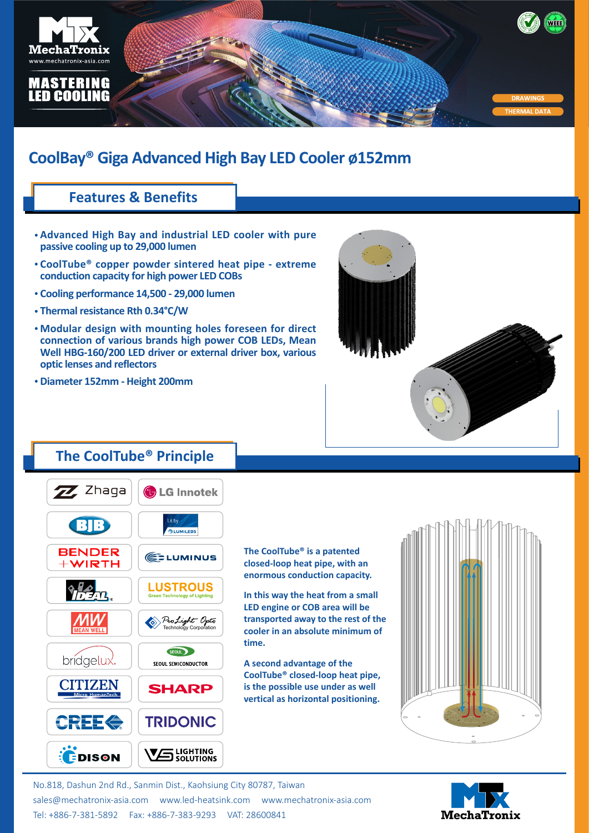

# **CoolBay® Giga Advanced High Bay LED Cooler ø152mm**

### **Features & Benefits**

- **Advanced High Bay and industrial LED cooler with pure • passive cooling up to 29,000 lumen**
- **CoolTube® copper powder sintered heat pipe extreme • conduction capacity for high power LED COBs**
- **Cooling performance 14,500 29,000 lumen •**
- **Thermal resistance Rth 0.34°C/W •**
- **Modular design with mounting holes foreseen for direct • connection of various brands high power COB LEDs, Mean Well HBG-160/200 LED driver or external driver box, various optic lenses and reflectors**
- **Diameter 152mm Height 200mm •**



### **The CoolTube® Principle**



**The CoolTube® is a patented closed-loop heat pipe, with an enormous conduction capacity.**

**In this way the heat from a small LED engine or COB area will be transported away to the rest of the cooler in an absolute minimum of time.**

**A second advantage of the CoolTube® closed-loop heat pipe, is the possible use under as well vertical as horizontal positioning.**



No.818, Dashun 2nd Rd., Sanmin Dist., Kaohsiung City 80787, Taiwan [sales@mechatronix-asia.com](mailto:sales%40mechatronix-asia.com?subject=) [www.led-heatsink.com](http://www.led-heatsink.com) [www.mechatronix-asia.com](http://www.mechatronix-asia.com) Tel: +886-7-381-5892 Fax: +886-7-383-9293 VAT: 28600841